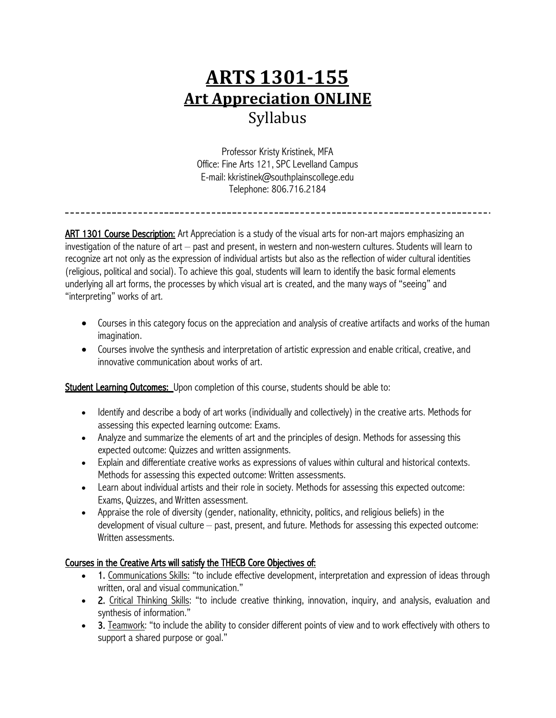# **ARTS 1301-155 Art Appreciation ONLINE** Syllabus

Professor Kristy Kristinek, MFA Office: Fine Arts 121, SPC Levelland Campus E-mail: kkristinek@southplainscollege.edu Telephone: 806.716.2184

ART 1301 Course Description: Art Appreciation is a study of the visual arts for non-art majors emphasizing an investigation of the nature of art – past and present, in western and non-western cultures. Students will learn to recognize art not only as the expression of individual artists but also as the reflection of wider cultural identities (religious, political and social). To achieve this goal, students will learn to identify the basic formal elements underlying all art forms, the processes by which visual art is created, and the many ways of "seeing" and "interpreting" works of art.

- Courses in this category focus on the appreciation and analysis of creative artifacts and works of the human imagination.
- Courses involve the synthesis and interpretation of artistic expression and enable critical, creative, and innovative communication about works of art.

Student Learning Outcomes: Upon completion of this course, students should be able to:

- Identify and describe a body of art works (individually and collectively) in the creative arts. Methods for assessing this expected learning outcome: Exams.
- Analyze and summarize the elements of art and the principles of design. Methods for assessing this expected outcome: Quizzes and written assignments.
- Explain and differentiate creative works as expressions of values within cultural and historical contexts. Methods for assessing this expected outcome: Written assessments.
- Learn about individual artists and their role in society. Methods for assessing this expected outcome: Exams, Quizzes, and Written assessment.
- Appraise the role of diversity (gender, nationality, ethnicity, politics, and religious beliefs) in the development of visual culture – past, present, and future. Methods for assessing this expected outcome: Written assessments.

# Courses in the Creative Arts will satisfy the THECB Core Objectives of:

- 1. Communications Skills: "to include effective development, interpretation and expression of ideas through written, oral and visual communication."
- 2. Critical Thinking Skills: "to include creative thinking, innovation, inquiry, and analysis, evaluation and synthesis of information."
- 3. Teamwork: "to include the ability to consider different points of view and to work effectively with others to support a shared purpose or goal."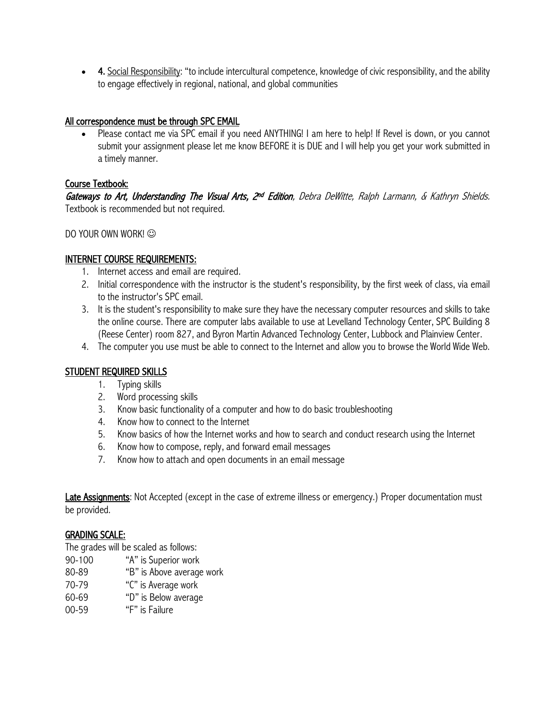• 4. Social Responsibility: "to include intercultural competence, knowledge of civic responsibility, and the ability to engage effectively in regional, national, and global communities

## All correspondence must be through SPC EMAIL

• Please contact me via SPC email if you need ANYTHING! I am here to help! If Revel is down, or you cannot submit your assignment please let me know BEFORE it is DUE and I will help you get your work submitted in a timely manner.

## Course Textbook:

Gateways to Art, Understanding The Visual Arts, 2<sup>nd</sup> Edition, Debra DeWitte, Ralph Larmann, & Kathryn Shields. Textbook is recommended but not required.

DO YOUR OWN WORK!  $\odot$ 

## INTERNET COURSE REQUIREMENTS:

- 1. Internet access and email are required.
- 2. Initial correspondence with the instructor is the student's responsibility, by the first week of class, via email to the instructor's SPC email.
- 3. It is the student's responsibility to make sure they have the necessary computer resources and skills to take the online course. There are computer labs available to use at Levelland Technology Center, SPC Building 8 (Reese Center) room 827, and Byron Martin Advanced Technology Center, Lubbock and Plainview Center.
- 4. The computer you use must be able to connect to the Internet and allow you to browse the World Wide Web.

# STUDENT REQUIRED SKILLS

- 1. Typing skills
- 2. Word processing skills
- 3. Know basic functionality of a computer and how to do basic troubleshooting
- 4. Know how to connect to the Internet
- 5. Know basics of how the Internet works and how to search and conduct research using the Internet
- 6. Know how to compose, reply, and forward email messages
- 7. Know how to attach and open documents in an email message

Late Assignments: Not Accepted (except in the case of extreme illness or emergency.) Proper documentation must be provided.

#### GRADING SCALE:

The grades will be scaled as follows:

- 90-100 "A" is Superior work
- 80-89 "B" is Above average work
- 70-79 "C" is Average work
- 60-69 "D" is Below average
- 00-59 "F" is Failure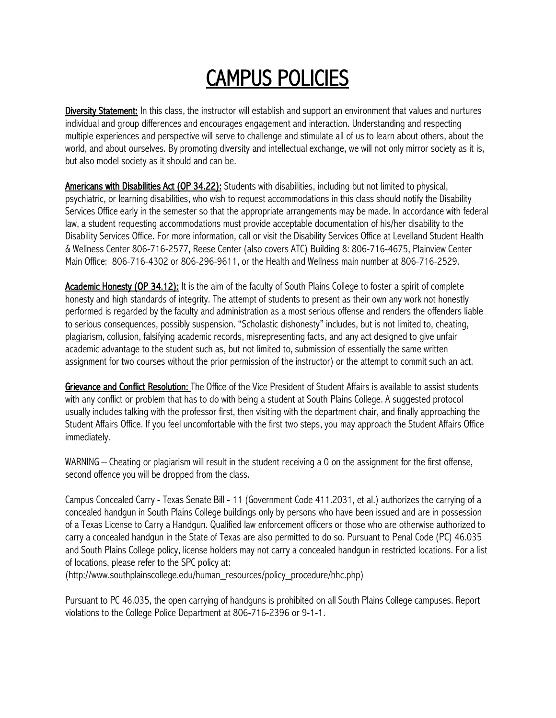# CAMPUS POLICIES

Diversity Statement: In this class, the instructor will establish and support an environment that values and nurtures individual and group differences and encourages engagement and interaction. Understanding and respecting multiple experiences and perspective will serve to challenge and stimulate all of us to learn about others, about the world, and about ourselves. By promoting diversity and intellectual exchange, we will not only mirror society as it is, but also model society as it should and can be.

Americans with Disabilities Act (OP 34.22): Students with disabilities, including but not limited to physical, psychiatric, or learning disabilities, who wish to request accommodations in this class should notify the Disability Services Office early in the semester so that the appropriate arrangements may be made. In accordance with federal law, a student requesting accommodations must provide acceptable documentation of his/her disability to the Disability Services Office. For more information, call or visit the Disability Services Office at Levelland Student Health & Wellness Center 806-716-2577, Reese Center (also covers ATC) Building 8: 806-716-4675, Plainview Center Main Office: 806-716-4302 or 806-296-9611, or the Health and Wellness main number at 806-716-2529.

Academic Honesty (OP 34.12): It is the aim of the faculty of South Plains College to foster a spirit of complete honesty and high standards of integrity. The attempt of students to present as their own any work not honestly performed is regarded by the faculty and administration as a most serious offense and renders the offenders liable to serious consequences, possibly suspension. "Scholastic dishonesty" includes, but is not limited to, cheating, plagiarism, collusion, falsifying academic records, misrepresenting facts, and any act designed to give unfair academic advantage to the student such as, but not limited to, submission of essentially the same written assignment for two courses without the prior permission of the instructor) or the attempt to commit such an act.

Grievance and Conflict Resolution: The Office of the Vice President of Student Affairs is available to assist students with any conflict or problem that has to do with being a student at South Plains College. A suggested protocol usually includes talking with the professor first, then visiting with the department chair, and finally approaching the Student Affairs Office. If you feel uncomfortable with the first two steps, you may approach the Student Affairs Office immediately.

WARNING – Cheating or plagiarism will result in the student receiving a 0 on the assignment for the first offense, second offence you will be dropped from the class.

Campus Concealed Carry - Texas Senate Bill - 11 (Government Code 411.2031, et al.) authorizes the carrying of a concealed handgun in South Plains College buildings only by persons who have been issued and are in possession of a Texas License to Carry a Handgun. Qualified law enforcement officers or those who are otherwise authorized to carry a concealed handgun in the State of Texas are also permitted to do so. Pursuant to Penal Code (PC) 46.035 and South Plains College policy, license holders may not carry a concealed handgun in restricted locations. For a list of locations, please refer to the SPC policy at:

(http://www.southplainscollege.edu/human\_resources/policy\_procedure/hhc.php)

Pursuant to PC 46.035, the open carrying of handguns is prohibited on all South Plains College campuses. Report violations to the College Police Department at 806-716-2396 or 9-1-1.